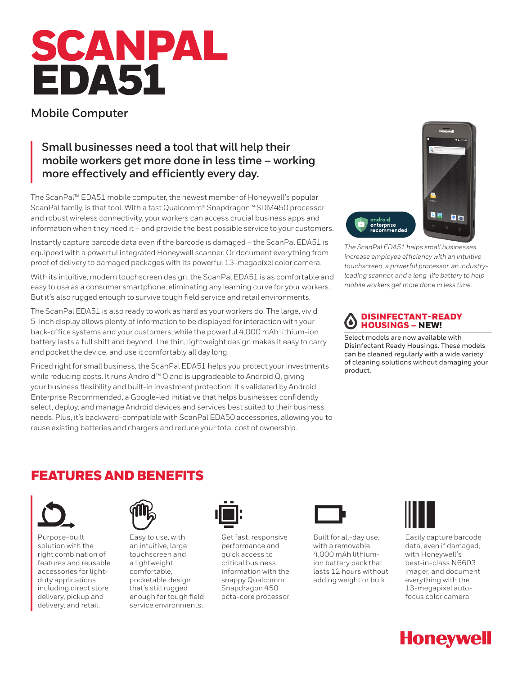# SCANPAL EDA51

## **Mobile Computer**

## **Small businesses need a tool that will help their mobile workers get more done in less time – working more effectively and efficiently every day.**

The ScanPal™ EDA51 mobile computer, the newest member of Honeywell's popular ScanPal family, is that tool. With a fast Qualcomm® Snapdragon™ SDM450 processor and robust wireless connectivity, your workers can access crucial business apps and information when they need it – and provide the best possible service to your customers.

Instantly capture barcode data even if the barcode is damaged – the ScanPal EDA51 is equipped with a powerful integrated Honeywell scanner. Or document everything from proof of delivery to damaged packages with its powerful 13-megapixel color camera.

With its intuitive, modern touchscreen design, the ScanPal EDA51 is as comfortable and easy to use as a consumer smartphone, eliminating any learning curve for your workers. But it's also rugged enough to survive tough field service and retail environments.

The ScanPal EDA51 is also ready to work as hard as your workers do. The large, vivid 5-inch display allows plenty of information to be displayed for interaction with your back-office systems and your customers, while the powerful 4,000 mAh lithium-ion battery lasts a full shift and beyond. The thin, lightweight design makes it easy to carry and pocket the device, and use it comfortably all day long.

Priced right for small business, the ScanPal EDA51 helps you protect your investments while reducing costs. It runs Android™ O and is upgradeable to Android Q, giving your business flexibility and built-in investment protection. It's validated by Android Enterprise Recommended, a Google-led initiative that helps businesses confidently select, deploy, and manage Android devices and services best suited to their business needs. Plus, it's backward-compatible with ScanPal EDA50 accessories, allowing you to reuse existing batteries and chargers and reduce your total cost of ownership.



*The ScanPal EDA51 helps small businesses increase employee efficiency with an intuitive touchscreen, a powerful processor, an industryleading scanner, and a long-life battery to help mobile workers get more done in less time.*

#### DISINFECTANT-READY  $\bullet$ HOUSINGS – NEW!

Select models are now available with Disinfectant Ready Housings. These models can be cleaned regularly with a wide variety of cleaning solutions without damaging your product.

## FEATURES AND BENEFITS



Purpose-built solution with the right combination of features and reusable accessories for lightduty applications including direct store delivery, pickup and delivery, and retail.



Easy to use, with an intuitive, large touchscreen and a lightweight, comfortable, pocketable design that's still rugged enough for tough field service environments.



Get fast, responsive performance and quick access to critical business information with the snappy Qualcomm Snapdragon 450 octa-core processor.



Built for all-day use, with a removable 4,000 mAh lithiumion battery pack that lasts 12 hours without adding weight or bulk.



Easily capture barcode data, even if damaged, with Honeywell's best-in-class N6603 imager, and document everything with the 13-megapixel autofocus color camera.